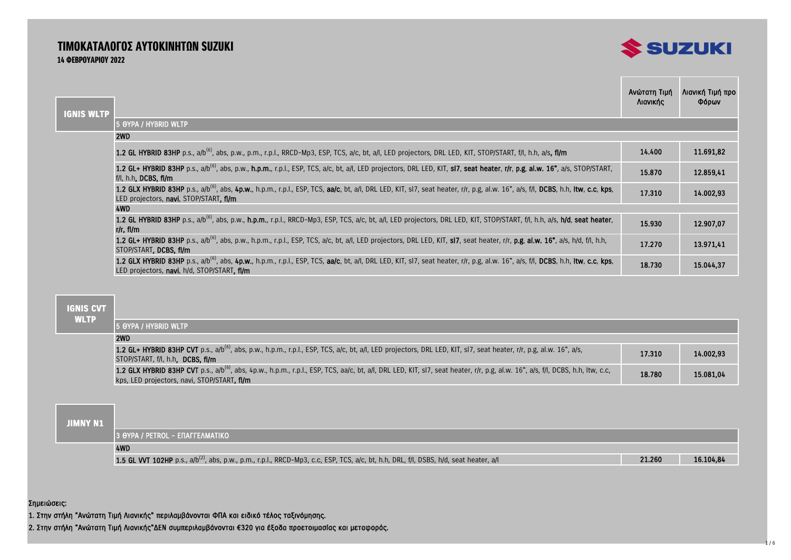## ΤΙΜΟΚΑΤΑΛΟΓΟΣ ΑΥΤΟΚΙΝΗΤΩΝ SUZUKI 14 ΦΕΒΡΟΥΑΡΙΟΥ 2022



| <b>IGNIS WLTP</b> |                                                                                                                                                                                                                                             | Ανώτατη Τιμή<br>Λιανικής | Λιανική Τιμή προ<br>Φόρων |
|-------------------|---------------------------------------------------------------------------------------------------------------------------------------------------------------------------------------------------------------------------------------------|--------------------------|---------------------------|
|                   | 5 OYPA / HYBRID WLTP                                                                                                                                                                                                                        |                          |                           |
|                   | 2WD                                                                                                                                                                                                                                         |                          |                           |
|                   | 1.2 GL HYBRID 83HP p.s., a/b <sup>(6)</sup> , abs, p.w., p.m., r.p.l., RRCD-Mp3, ESP, TCS, a/c, bt, a/l, LED projectors, DRL LED, KIT, STOP/START, f/l, h.h, a/s, fl/m                                                                      | 14.400                   | 11.691,82                 |
|                   | 1.2 GL+ HYBRID 83HP p.s., a/b <sup>(6)</sup> , abs, p.w., h.p.m., r.p.l., ESP, TCS, a/c, bt, a/l, LED projectors, DRL LED, KIT, sl7, seat heater, r/r, p.g, al.w. 16", a/s, STOP/START,<br>f/l, h.h. DCBS, fl/m                             | 15.870                   | 12.859,41                 |
|                   | 1.2 GLX HYBRID 83HP p.s., a/b <sup>(6)</sup> , abs, 4p.w., h.p.m., r.p.l., ESP, TCS, aa/c, bt, a/l, DRL LED, KIT, sI7, seat heater, r/r, p.g, al.w. 16", a/s, f/l, DCBS, h.h, Itw, c.c, kps,<br>LED projectors, navi, STOP/START, fl/m      | 17.310                   | 14.002,93                 |
|                   | 4WD                                                                                                                                                                                                                                         |                          |                           |
|                   | 1.2 GL HYBRID 83HP p.s., a/b <sup>(6)</sup> , abs, p.w., h.p.m., r.p.l., RRCD-Mp3, ESP, TCS, a/c, bt, a/l, LED projectors, DRL LED, KIT, STOP/START, f/l, h.h, a/s, h/d, seat heater,<br>r/r. fl/m                                          | 15.930                   | 12.907,07                 |
|                   | 1.2 GL+ HYBRID 83HP p.s., a/b <sup>(6)</sup> , abs, p.w., h.p.m., r.p.l., ESP, TCS, a/c, bt, a/l, LED projectors, DRL LED, KIT, sl7, seat heater, r/r, p.g, al.w. 16", a/s, h/d, f/l, h.h,<br>STOP/START, DCBS, fl/m                        | 17.270                   | 13.971,41                 |
|                   | 1.2 GLX HYBRID 83HP p.s., a/b <sup>(6)</sup> , abs, 4p.w., h.p.m., r.p.l., ESP, TCS, aa/c, bt, a/l, DRL LED, KIT, sI7, seat heater, r/r, p.g, al.w. 16", a/s, f/l, DCBS, h.h, Itw, c.c, kps,<br>LED projectors, navi, h/d, STOP/START, fl/m | 18.730                   | 15.044,37                 |

 **IGNIS CVT WLTP**

| 15 OYPA / HYBRID WLTP                                                                                                                                                                                                                      |        |           |
|--------------------------------------------------------------------------------------------------------------------------------------------------------------------------------------------------------------------------------------------|--------|-----------|
| 2WD                                                                                                                                                                                                                                        |        |           |
| 1.2 GL+ HYBRID 83HP CVT p.s., a/b <sup>(6)</sup> , abs, p.w., h.p.m., r.p.l., ESP, TCS, a/c, bt, a/l, LED projectors, DRL LED, KIT, sl7, seat heater, r/r, p.g, al.w. 16", a/s,<br>STOP/START, f/l, h.h. DCBS, fl/m                        | 17.310 | 14.002.93 |
| 1.2 GLX HYBRID 83HP CVT p.s., a/b <sup>(6)</sup> , abs, 4p.w., h.p.m., r.p.l., ESP, TCS, aa/c, bt, a/l, DRL LED, KIT, sl7, seat heater, r/r, p.g, al.w. 16", a/s, f/l, DCBS, h.h, Itw, c.c,<br>kps, LED projectors, navi, STOP/START, fl/m | 18.780 | 15.081.04 |

### **JIMNY N1**

| . |                                                                                                                                                   |        |           |
|---|---------------------------------------------------------------------------------------------------------------------------------------------------|--------|-----------|
|   | 13 OYPA / PETROL - EΠΑΓΓΕΛΜΑΤΙΚΟ                                                                                                                  |        |           |
|   | 4WD                                                                                                                                               |        |           |
|   | 1.5 GL VVT 102HP p.s., a/b <sup>(2)</sup> , abs, p.w., p.m., r.p.l., RRCD-Mp3, c.c, ESP, TCS, a/c, bt, h.h, DRL, f/l, DSBS, h/d, seat heater, a/l | 21.260 | 16.104,84 |

Σημειώσεις:

1. Στην στήλη "Ανώτατη Τιμή Λιανικής" περιλαμβάνονται ΦΠΑ και ειδικό τέλος ταξινόμησης.

2. Στην στήλη "Ανώτατη Τιμή Λιανικής"ΔΕΝ συμπεριλαμβάνονται €320 για έξοδα προετοιμασίας και μεταφοράς.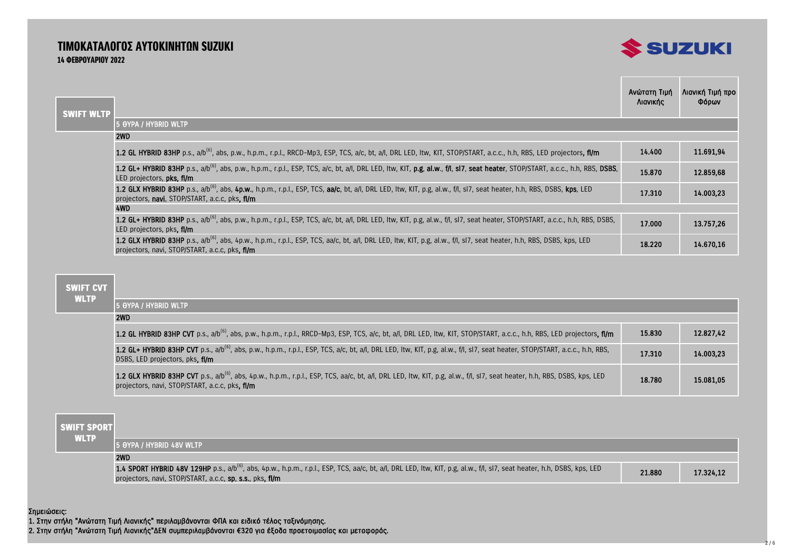## ΤΙΜΟΚΑΤΑΛΟΓΟΣ ΑΥΤΟΚΙΝΗΤΩΝ SUZUKI 14 ΦΕΒΡΟΥΑΡΙΟΥ 2022



| <b>SWIFT WLTP</b> |                                                                                                                                                                                                                                      | Ανώτατη Τιμή<br>Λιανικής | Λιανική Τιμή προ<br>Φόρων |
|-------------------|--------------------------------------------------------------------------------------------------------------------------------------------------------------------------------------------------------------------------------------|--------------------------|---------------------------|
|                   | 5 OYPA / HYBRID WLTP                                                                                                                                                                                                                 |                          |                           |
|                   | 2WD                                                                                                                                                                                                                                  |                          |                           |
|                   | 1.2 GL HYBRID 83HP p.s., a/b <sup>(6)</sup> , abs, p.w., h.p.m., r.p.l., RRCD-Mp3, ESP, TCS, a/c, bt, a/l, DRL LED, Itw, KIT, STOP/START, a.c.c., h.h, RBS, LED projectors, fl/m                                                     | 14.400                   | 11.691.94                 |
|                   | 1.2 GL+ HYBRID 83HP p.s., a/b <sup>(6)</sup> , abs, p.w., h.p.m., r.p.l., ESP, TCS, a/c, bt, a/l, DRL LED, ltw, KIT, p.g, al.w., f/l, sl7, seat heater, STOP/START, a.c.c., h.h, RBS, DSBS,<br>LED projectors, pks, fl/m             | 15.870                   | 12.859,68                 |
|                   | 1.2 GLX HYBRID 83HP p.s., a/b <sup>(6)</sup> , abs, 4p.w., h.p.m., r.p.l., ESP, TCS, aa/c, bt, a/l, DRL LED, Itw, KIT, p.g, al.w., f/l, sI7, seat heater, h.h, RBS, DSBS, kps, LED<br>projectors, navi, STOP/START, a.c.c, pks, fl/m | 17.310                   | 14.003.23                 |
|                   | 4WD                                                                                                                                                                                                                                  |                          |                           |
|                   | 1.2 GL+ HYBRID 83HP p.s., a/b <sup>(6)</sup> , abs, p.w., h.p.m., r.p.l., ESP, TCS, a/c, bt, a/l, DRL LED, Itw, KIT, p.g, al.w., f/l, sl7, seat heater, STOP/START, a.c.c., h.h, RBS, DSBS,<br>LED projectors, pks, fl/m             | 17.000                   | 13.757.26                 |
|                   | 1.2 GLX HYBRID 83HP p.s., a/b <sup>(6)</sup> , abs, 4p.w., h.p.m., r.p.l., ESP, TCS, aa/c, bt, a/l, DRL LED, ltw, KIT, p.g, al.w., f/l, sl7, seat heater, h.h, RBS, DSBS, kps, LED<br>projectors, navi, STOP/START, a.c.c. pks, fl/m | 18.220                   | 14.670.16                 |

## **SWIFT CVT**

| <b>WLTP</b> |                                                                                                                                                                                                                                          |        |           |  |  |
|-------------|------------------------------------------------------------------------------------------------------------------------------------------------------------------------------------------------------------------------------------------|--------|-----------|--|--|
|             | <b>5 OYPA / HYBRID WLTP</b>                                                                                                                                                                                                              |        |           |  |  |
|             | 2WD                                                                                                                                                                                                                                      |        |           |  |  |
|             | 1.2 GL HYBRID 83HP CVT p.s., a/b <sup>(6)</sup> , abs, p.w., h.p.m., r.p.l., RRCD-Mp3, ESP, TCS, a/c, bt, a/l, DRL LED, Itw, KIT, STOP/START, a.c.c., h.h, RBS, LED projectors, fi/m                                                     | 15.830 | 12.827,42 |  |  |
|             | 1.2 GL+ HYBRID 83HP CVT p.s., a/b <sup>(6)</sup> , abs, p.w., h.p.m., r.p.l., ESP, TCS, a/c, bt, a/l, DRL LED, Itw, KIT, p.g, al.w., f/l, sl7, seat heater, STOP/START, a.c.c., h.h, RBS,<br>DSBS, LED projectors, pks, fl/m             | 17.310 | 14.003.23 |  |  |
|             | 1.2 GLX HYBRID 83HP CVT p.s., a/b <sup>(6)</sup> , abs, 4p.w., h.p.m., r.p.l., ESP, TCS, aa/c, bt, a/l, DRL LED, Itw, KIT, p.g, al.w., f/l, sl7, seat heater, h.h, RBS, DSBS, kps, LED<br>projectors, navi, STOP/START, a.c.c. pks. fl/m | 18.780 | 15.081.05 |  |  |

| i swift sporti |                                                                                                                                                                                                                                                  |        |           |
|----------------|--------------------------------------------------------------------------------------------------------------------------------------------------------------------------------------------------------------------------------------------------|--------|-----------|
| <b>WLTP</b>    | 15 OYPA / HYBRID 48V WLTP                                                                                                                                                                                                                        |        |           |
|                | 2WD                                                                                                                                                                                                                                              |        |           |
|                | 1.4 SPORT HYBRID 48V 129HP p.s., a/b <sup>(6)</sup> , abs, 4p.w., h.p.m., r.p.l., ESP, TCS, aa/c, bt, a/l, DRL LED, Itw, KIT, p.g, al.w., f/l, sl7, seat heater, h.h, DSBS, kps, LED<br>projectors, navi, STOP/START, a.c.c, sp, s.s., pks, fl/m | 21.880 | 17.324,12 |

Σημειώσεις:

1. Στην στήλη "Ανώτατη Τιμή Λιανικής" περιλαμβάνονται ΦΠΑ και ειδικό τέλος ταξινόμησης.

2. Στην στήλη "Ανώτατη Τιμή Λιανικής"ΔΕΝ συμπεριλαμβάνονται €320 για έξοδα προετοιμασίας και μεταφοράς.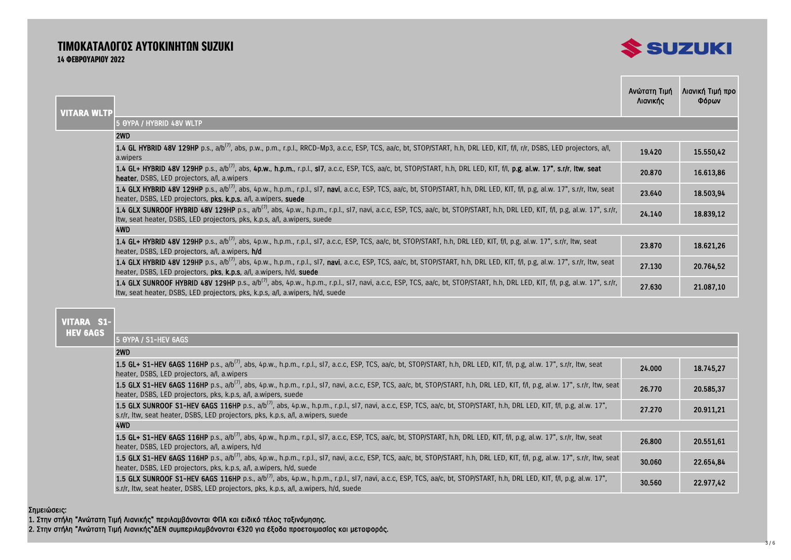## ΤΙΜΟΚΑΤΑΛΟΓΟΣ ΑΥΤΟΚΙΝΗΤΩΝ SUZUKI 14 ΦΕΒΡΟΥΑΡΙΟΥ 2022



| <b>VITARA WLTP</b>                                                                                                                                                                                                                                                        | Ανώτατη Τιμή<br>Λιανικής | Λιανική Τιμή προ<br>Φόρων |
|---------------------------------------------------------------------------------------------------------------------------------------------------------------------------------------------------------------------------------------------------------------------------|--------------------------|---------------------------|
| 5 OYPA / HYBRID 48V WLTP                                                                                                                                                                                                                                                  |                          |                           |
| 2WD                                                                                                                                                                                                                                                                       |                          |                           |
| 1.4 GL HYBRID 48V 129HP p.s., a/b <sup>(7)</sup> , abs, p.w., p.m., r.p.l., RRCD-Mp3, a.c.c, ESP, TCS, aa/c, bt, STOP/START, h.h, DRL LED, KIT, f/l, r/r, DSBS, LED projectors, a/l,<br>a.wipers                                                                          | 19.420                   | 15.550,42                 |
| 1.4 GL+ HYBRID 48V 129HP p.s., a/b <sup>(7)</sup> , abs, 4p.w., h.p.m., r.p.l., sl7, a.c.c, ESP, TCS, aa/c, bt, STOP/START, h.h, DRL LED, KIT, f/l, p.g, al.w. 17", s.r/r, ltw, seat<br><b>heater</b> , DSBS, LED projectors, a/l, a wipers                               | 20.870                   | 16.613.86                 |
| 1.4 GLX HYBRID 48V 129HP p.s., a/b <sup>(7)</sup> , abs, 4p.w., h.p.m., r.p.l., sl7, navi, a.c.c, ESP, TCS, aa/c, bt, STOP/START, h.h, DRL LED, KIT, f/l, p.g, al.w. 17", s.r/r, ltw, seat<br>heater, DSBS, LED projectors, pks, k.p.s, a/l, a.wipers, suede              | 23.640                   | 18.503,94                 |
| 1.4 GLX SUNROOF HYBRID 48V 129HP p.s., a/b <sup>(7)</sup> , abs, 4p.w., h.p.m., r.p.l., sl7, navi, a.c.c, ESP, TCS, aa/c, bt, STOP/START, h.h, DRL LED, KIT, f/l, p.g, al.w. 17", s.r/r,<br>Itw, seat heater, DSBS, LED projectors, pks, k.p.s, a/l, a.wipers, suede      | 24.140                   | 18.839,12                 |
| 4WD                                                                                                                                                                                                                                                                       |                          |                           |
| <b>1.4 GL+ HYBRID 48V 129HP</b> p.s., a/b <sup>(7)</sup> , abs, 4p.w., h.p.m., r.p.l., sl7, a.c.c, ESP, TCS, aa/c, bt, STOP/START, h.h, DRL LED, KIT, f/l, p.g, al.w. 17", s.r/r, Itw, seat<br>heater, DSBS, LED projectors, a/l, a.wipers, h/d                           | 23.870                   | 18.621.26                 |
| 1.4 GLX HYBRID 48V 129HP p.s., a/b <sup>(7)</sup> , abs, 4p.w., h.p.m., r.p.l., sl7, navi, a.c.c, ESP, TCS, aa/c, bt, STOP/START, h.h, DRL LED, KIT, f/l, p.g, al.w. 17", s.r/r, ltw, seat<br>heater, DSBS, LED projectors, pks, k.p.s, a/l, a.wipers, h/d, suede         | 27.130                   | 20.764,52                 |
| 1.4 GLX SUNROOF HYBRID 48V 129HP p.s., a/b <sup>(7)</sup> , abs, 4p.w., h.p.m., r.p.l., sl7, navi, a.c.c, ESP, TCS, aa/c, bt, STOP/START, h.h, DRL LED, KIT, f/l, p.g, al.w. 17", s.r/r,<br>Itw, seat heater, DSBS, LED projectors, pks, k.p.s, a/l, a.wipers, h/d, suede | 27.630                   | 21.087,10                 |

#### **VITARA S1- HEV 6AGS**

5 ΘΥΡΑ / S1-HEV 6AGS

### $2WD$

| <b>LVVU</b>                                                                                                                                                                                                                                                                |        |           |
|----------------------------------------------------------------------------------------------------------------------------------------------------------------------------------------------------------------------------------------------------------------------------|--------|-----------|
| 1.5 GL+ S1-HEV 6AGS 116HP p.s., a/b <sup>(7)</sup> , abs, 4p.w., h.p.m., r.p.l., sl7, a.c.c, ESP, TCS, aa/c, bt, STOP/START, h.h, DRL LED, KIT, f/l, p.g, al.w. 17", s.r/r, Itw, seat<br>heater, DSBS, LED projectors, a/l, a.wipers                                       | 24.000 | 18.745.27 |
| 1.5 GLX S1-HEV 6AGS 116HP p.s., a/b <sup>(7)</sup> , abs, 4p.w., h.p.m., r.p.l., sl7, navi, a.c.c, ESP, TCS, aa/c, bt, STOP/START, h.h, DRL LED, KIT, f/l, p.g, al.w. 17", s.r/r, Itw, seat<br>heater, DSBS, LED projectors, pks, k.p.s, a/l, a.wipers, suede              | 26.770 | 20.585,37 |
| 1.5 GLX SUNROOF S1-HEV 6AGS 116HP p.s., a/b <sup>(7)</sup> , abs, 4p.w., h.p.m., r.p.l., sl7, navi, a.c.c, ESP, TCS, aa/c, bt, STOP/START, h.h, DRL LED, KIT, f/l, p.g, al.w. 17",<br>s.r/r, Itw, seat heater, DSBS, LED projectors, pks, k.p.s, a/l, a.wipers, suede      | 27.270 | 20.911.21 |
| 4WD                                                                                                                                                                                                                                                                        |        |           |
| 1.5 GL+ S1-HEV 6AGS 116HP p.s., a/b <sup>(7)</sup> , abs, 4p.w., h.p.m., r.p.l., sl7, a.c.c, ESP, TCS, aa/c, bt, STOP/START, h.h, DRL LED, KIT, f/l, p.g, al.w. 17", s.r/r, ltw, seat<br>heater, DSBS, LED projectors, a/l, a.wipers, h/d                                  | 26.800 | 20.551.61 |
| 1.5 GLX S1-HEV 6AGS 116HP p.s., a/b <sup>(7)</sup> , abs, 4p.w., h.p.m., r.p.l., sl7, navi, a.c.c, ESP, TCS, aa/c, bt, STOP/START, h.h, DRL LED, KIT, f/l, p.g, al.w. 17", s.r/r, Itw, seat<br>heater, DSBS, LED projectors, pks, k.p.s, a/l, a.wipers, h/d, suede         | 30.060 | 22.654,84 |
| 1.5 GLX SUNROOF S1-HEV 6AGS 116HP p.s., a/b <sup>(7)</sup> , abs, 4p.w., h.p.m., r.p.l., sl7, navi, a.c.c, ESP, TCS, aa/c, bt, STOP/START, h.h, DRL LED, KIT, f/l, p.g, al.w. 17",<br>s.r/r, Itw, seat heater, DSBS, LED projectors, pks, k.p.s, a/l, a.wipers, h/d, suede |        | 22.977,42 |

#### Σημειώσεις:

1. Στην στήλη "Ανώτατη Τιμή Λιανικής" περιλαμβάνονται ΦΠΑ και ειδικό τέλος ταξινόμησης.

2. Στην στήλη "Ανώτατη Τιμή Λιανικής"ΔΕΝ συμπεριλαμβάνονται €320 για έξοδα προετοιμασίας και μεταφοράς.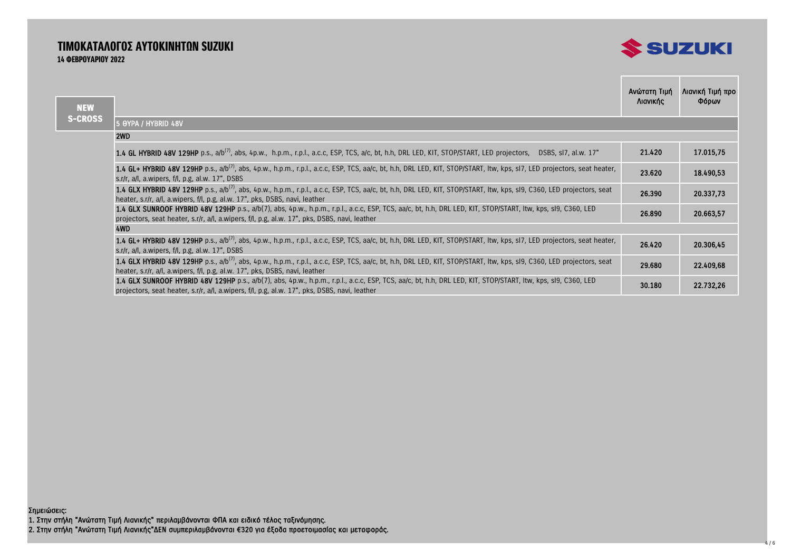# ΤΙΜΟΚΑΤΑΛΟΓΟΣ ΑΥΤΟΚΙΝΗΤΩΝ SUZUKI 14 ΦΕΒΡΟΥΑΡΙΟΥ 2022



the control of the control of the

| <b>NEW</b>     |                                                                                                                                                                                                                                                                    | Ανώτατη Τιμή<br>Λιανικής | Λιανική Τιμή προ<br>Φόρων |
|----------------|--------------------------------------------------------------------------------------------------------------------------------------------------------------------------------------------------------------------------------------------------------------------|--------------------------|---------------------------|
| <b>S-CROSS</b> | 5 OYPA / HYBRID 48V                                                                                                                                                                                                                                                |                          |                           |
|                | 2WD                                                                                                                                                                                                                                                                |                          |                           |
|                | 1.4 GL HYBRID 48V 129HP p.s., a/b <sup>(7)</sup> , abs, 4p.w., h.p.m., r.p.l., a.c.c, ESP, TCS, a/c, bt, h.h, DRL LED, KIT, STOP/START, LED projectors, DSBS, sl7, al.w. 17"                                                                                       | 21.420                   | 17.015,75                 |
|                | 1.4 GL+ HYBRID 48V 129HP p.s., a/b <sup>(7)</sup> , abs, 4p.w., h.p.m., r.p.l., a.c.c, ESP, TCS, aa/c, bt, h.h, DRL LED, KIT, STOP/START, Itw, kps, sl7, LED projectors, seat heater,<br>s.r/r, $a/l$ , a.wipers, $f/l$ , p.g, $a l.w.$ 17", DSBS                  | 23.620                   | 18.490,53                 |
|                | 1.4 GLX HYBRID 48V 129HP p.s., a/b <sup>(7)</sup> , abs, 4p.w., h.p.m., r.p.l., a.c.c, ESP, TCS, aa/c, bt, h.h, DRL LED, KIT, STOP/START, Itw, kps, sI9, C360, LED projectors, seat<br>heater, s.r/r, a/l, a.wipers, f/l, p.g, al.w. 17", pks, DSBS, navi, leather | 26.390                   | 20.337,73                 |
|                | 1.4 GLX SUNROOF HYBRID 48V 129HP p.s., a/b(7), abs, 4p.w., h.p.m., r.p.l., a.c.c, ESP, TCS, aa/c, bt, h.h, DRL LED, KIT, STOP/START, Itw, kps, sl9, C360, LED<br>projectors, seat heater, s.r/r, a/l, a.wipers, f/l, p.g, al.w. 17", pks, DSBS, navi, leather      | 26.890                   | 20.663,57                 |
|                | 4WD                                                                                                                                                                                                                                                                |                          |                           |
|                | 1.4 GL+ HYBRID 48V 129HP p.s., a/b <sup>(7)</sup> , abs, 4p.w., h.p.m., r.p.l., a.c.c, ESP, TCS, aa/c, bt, h.h, DRL LED, KIT, STOP/START, Itw, kps, sl7, LED projectors, seat heater,<br>s.r/r, a/l, a.wipers, f/l, p.g, al.w. 17", DSBS                           | 26.420                   | 20.306,45                 |
|                | 1.4 GLX HYBRID 48V 129HP p.s., a/b <sup>(7)</sup> , abs, 4p.w., h.p.m., r.p.l., a.c.c, ESP, TCS, aa/c, bt, h.h, DRL LED, KIT, STOP/START, Itw, kps, sI9, C360, LED projectors, seat<br>heater, s.r/r, a/l, a.wipers, f/l, p.g, al.w. 17", pks, DSBS, navi, leather | 29.680                   | 22.409,68                 |
|                | 1.4 GLX SUNROOF HYBRID 48V 129HP p.s., a/b(7), abs, 4p.w., h.p.m., r.p.l., a.c.c, ESP, TCS, aa/c, bt, h.h, DRL LED, KIT, STOP/START, Itw, kps, sI9, C360, LED<br>projectors, seat heater, s.r/r, a/l, a.wipers, f/l, p.g, al.w. 17", pks, DSBS, navi, leather      | 30.180                   | 22.732,26                 |

Σημειώσεις: 1. Στην στήλη "Ανώτατη Τιμή Λιανικής" περιλαμβάνονται ΦΠΑ και ειδικό τέλος ταξινόμησης. 2. Στην στήλη "Ανώτατη Τιμή Λιανικής"ΔΕΝ συμπεριλαμβάνονται €320 για έξοδα προετοιμασίας και μεταφοράς.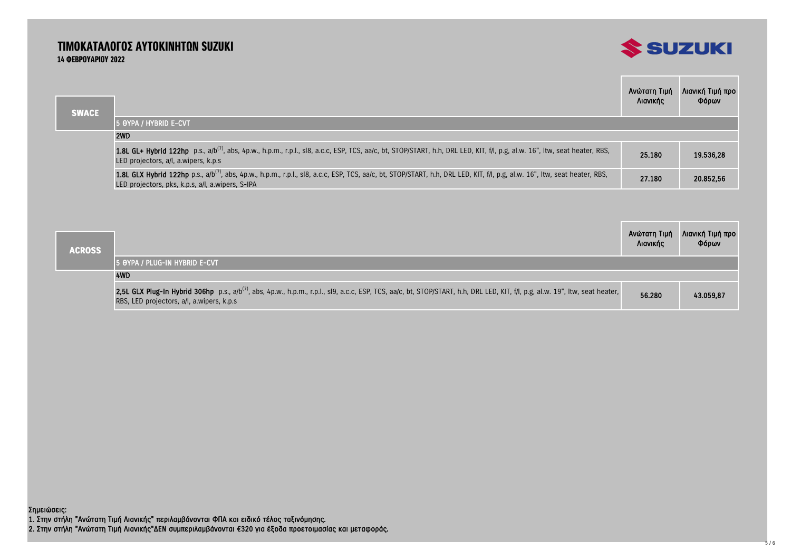## ΤΙΜΟΚΑΤΑΛΟΓΟΣ ΑΥΤΟΚΙΝΗΤΩΝ SUZUKI 14 ΦΕΒΡΟΥΑΡΙΟΥ 2022



|              |                                                                                                                                                                                                                                             | Ανώτατη Τιμή<br>Λιανικής | Λιανική Τιμή προ<br>Φόρων |
|--------------|---------------------------------------------------------------------------------------------------------------------------------------------------------------------------------------------------------------------------------------------|--------------------------|---------------------------|
| <b>SWACE</b> | 15 OYPA / HYBRID E-CVT                                                                                                                                                                                                                      |                          |                           |
|              | 2WD                                                                                                                                                                                                                                         |                          |                           |
|              | 1.8L GL+ Hybrid 122hp p.s., a/b <sup>(7)</sup> , abs, 4p.w., h.p.m., r.p.l., sl8, a.c.c, ESP, TCS, aa/c, bt, STOP/START, h.h, DRL LED, KIT, f/l, p.g, al.w. 16", Itw, seat heater, RBS,<br>LED projectors, a/l, a.wipers, k.p.s.            | 25.180                   | 19.536,28                 |
|              | 1.8L GLX Hybrid 122hp p.s., a/b <sup>(7)</sup> , abs, 4p.w., h.p.m., r.p.l., sl8, a.c.c, ESP, TCS, aa/c, bt, STOP/START, h.h, DRL LED, KIT, f/l, p.g, al.w. 16", Itw, seat heater, RBS,<br>LED projectors, pks, k.p.s, a/l, a.wipers, S-IPA | 27.180                   | 20.852,56                 |

| <b>ACROSS</b> |                                                                                                                                                                                                                                         | Ανώτατη Τιμή<br>Λιανικής | Λιανική Τιμή προ<br>Φόρων |
|---------------|-----------------------------------------------------------------------------------------------------------------------------------------------------------------------------------------------------------------------------------------|--------------------------|---------------------------|
|               | 15 OYPA / PLUG-IN HYBRID E-CVT                                                                                                                                                                                                          |                          |                           |
|               | 4WD                                                                                                                                                                                                                                     |                          |                           |
|               | 2,5L GLX Plug-In Hybrid 306hp p.s., a/b <sup>(7)</sup> , abs, 4p.w., h.p.m., r.p.l., sl9, a.c.c, ESP, TCS, aa/c, bt, STOP/START, h.h, DRL LED, KIT, f/l, p.g, al.w. 19", Itw, seat heater,<br>RBS, LED projectors, a/l, a.wipers, k.p.s | 56.280                   | 43.059,87                 |

1. Στην στήλη "Ανώτατη Τιμή Λιανικής" περιλαμβάνονται ΦΠΑ και ειδικό τέλος ταξινόμησης. 2. Στην στήλη "Ανώτατη Τιμή Λιανικής"ΔΕΝ συμπεριλαμβάνονται €320 για έξοδα προετοιμασίας και μεταφοράς. Σημειώσεις: